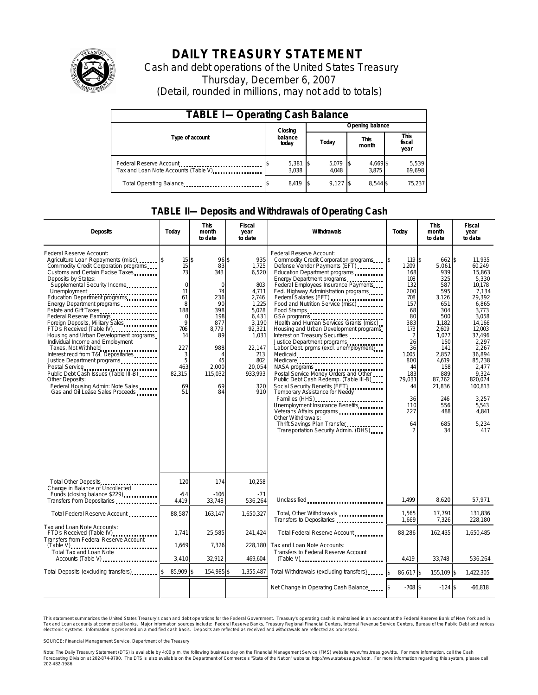

# **DAILY TREASURY STATEMENT**

Cash and debt operations of the United States Treasury Thursday, December 6, 2007 (Detail, rounded in millions, may not add to totals)

| <b>TABLE I-Operating Cash Balance</b>                                                                       |  |                             |  |                 |     |                      |  |                        |  |  |
|-------------------------------------------------------------------------------------------------------------|--|-----------------------------|--|-----------------|-----|----------------------|--|------------------------|--|--|
|                                                                                                             |  | Closing<br>balance<br>today |  | Opening balance |     |                      |  |                        |  |  |
| Type of account                                                                                             |  |                             |  | Today           |     | <b>This</b><br>month |  | This<br>fiscal<br>year |  |  |
| Federal Reserve Account<br>Tax and Loan Note Accounts (Table V) <b>Tax and Loan Note Accounts</b> (Table V) |  | $5,381$ \$<br>3.038         |  | 5,079<br>4.048  | IS. | 4,669 \$<br>3.875    |  | 5,539<br>69,698        |  |  |
| Total Operating Balance                                                                                     |  | 8.419                       |  | $9.127$ \$      |     | 8.544 \$             |  | 75.237                 |  |  |

### **TABLE II—Deposits and Withdrawals of Operating Cash**

| <b>Deposits</b>                                                                                                                                                                                                                                                                                                                                                                                                                                                                                                                                                                                                                                                                                                              | Today                                                                                                                                                        | <b>This</b><br>month<br>to date                                                                                                            | <b>Fiscal</b><br>year<br>to date                                                                                                                                 | Withdrawals                                                                                                                                                                                                                                                                                                                                                                                                                                                                                                                                                                                                                                                                                                                                                                                                                                                                                                                       | Today                                                                                                                                                                       | <b>This</b><br>month<br>to date                                                                                                                                                                          | <b>Fiscal</b><br>year<br>to date                                                                                                                                                                                                                   |
|------------------------------------------------------------------------------------------------------------------------------------------------------------------------------------------------------------------------------------------------------------------------------------------------------------------------------------------------------------------------------------------------------------------------------------------------------------------------------------------------------------------------------------------------------------------------------------------------------------------------------------------------------------------------------------------------------------------------------|--------------------------------------------------------------------------------------------------------------------------------------------------------------|--------------------------------------------------------------------------------------------------------------------------------------------|------------------------------------------------------------------------------------------------------------------------------------------------------------------|-----------------------------------------------------------------------------------------------------------------------------------------------------------------------------------------------------------------------------------------------------------------------------------------------------------------------------------------------------------------------------------------------------------------------------------------------------------------------------------------------------------------------------------------------------------------------------------------------------------------------------------------------------------------------------------------------------------------------------------------------------------------------------------------------------------------------------------------------------------------------------------------------------------------------------------|-----------------------------------------------------------------------------------------------------------------------------------------------------------------------------|----------------------------------------------------------------------------------------------------------------------------------------------------------------------------------------------------------|----------------------------------------------------------------------------------------------------------------------------------------------------------------------------------------------------------------------------------------------------|
| Federal Reserve Account:<br>Agriculture Loan Repayments (misc) [\$<br>Com modity Credit Corporation programs<br>Customs and Certain Excise Taxes<br>Deposits by States:<br>Supplemental Security Income<br>Unemployment<br>Education Department programs<br>Energy Department programs<br>Estate and Gift Taxes<br>Federal Reserve Earnings<br>Foreign Deposits, Military Sales<br>FTD's Received (Table IV)<br>Housing and Urban Development programs<br>Individual Income and Employment<br>Taxes, Not Withheld<br>Interest recd from T&L Depositaries<br>Justice Department programs<br>Public Debt Cash Issues (Table III-B)<br>Other Deposits:<br>Federal Housing Admin: Note Sales<br>Gas and Oil Lease Sales Proceeds | 15 <sup>5</sup><br>15<br>73<br>$\mathbf 0$<br>11<br>61<br>8<br>188<br>$\mathbf 0$<br>$\mathsf{Q}$<br>706<br>14<br>227<br>3<br>5<br>463<br>82,315<br>69<br>51 | 96 \$<br>83<br>343<br>$\mathbf 0$<br>74<br>236<br>90<br>398<br>198<br>877<br>8.779<br>89<br>988<br>4<br>45<br>2.000<br>115,032<br>69<br>84 | 935<br>1,725<br>6,520<br>803<br>4,711<br>2,746<br>1,225<br>5.028<br>6.431<br>3.190<br>92,321<br>1,031<br>22,147<br>213<br>802<br>20,054<br>933,993<br>320<br>910 | Federal Reserve Account:<br>Commodity Credit Corporation programs<br>Defense Vendor Payments (EFT)<br>Education Department programs<br>Energy Department programs<br>Federal Employees Insurance Payments<br>Fed. Highway Administration programs<br>Federal Salaries (EFT)<br>Federal Salaries (EFT)<br>Food and Nutrition Service (misc)<br>Food Stamps<br>GSA programs<br>Health and Human Services Grants (misc)<br>Housing and Urban Development programs<br>Interest on Treasury Securities<br>Justice Department programs<br>Labor Dept. prgms (excl. unemployment)<br>Medicaid<br>Medicare<br>NASA programs<br>Postal Service Money Orders and Other<br>Public Debt Cash Redemp. (Table III-B)<br>Social Security Benefits (EFT)<br><br>Temporary Assistance for Needy<br>Families (HHS)<br>Unemployment Insurance Benefits<br>Other Withdrawals:<br>Thrift Savings Plan Transfer<br>Transportation Security Admin. (DHS) | 119 \$<br>1.209<br>168<br>108<br>132<br>200<br>708<br>157<br>68<br>80<br>383<br>173<br>2<br>26<br>36<br>1.005<br>800<br>44<br>183<br>79.031<br>44<br>36<br>110<br>227<br>64 | 662 \$<br>5.061<br>939<br>325<br>587<br>595<br>3,126<br>651<br>304<br>500<br>1.182<br>2.609<br>1.077<br>150<br>141<br>2,852<br>4.619<br>158<br>889<br>87,762<br>21,836<br>246<br>556<br>488<br>685<br>34 | 11.935<br>60.249<br>15.863<br>5,330<br>10,178<br>7.134<br>29,392<br>6.865<br>3.773<br>3.058<br>14.166<br>12.003<br>37.496<br>2,297<br>2,267<br>36.894<br>85.238<br>2.477<br>9,324<br>820.074<br>100,813<br>3.257<br>5.543<br>4,841<br>5,234<br>417 |
| Total Other Deposits<br>Change in Balance of Uncollected                                                                                                                                                                                                                                                                                                                                                                                                                                                                                                                                                                                                                                                                     | 120                                                                                                                                                          | 174                                                                                                                                        | 10,258                                                                                                                                                           |                                                                                                                                                                                                                                                                                                                                                                                                                                                                                                                                                                                                                                                                                                                                                                                                                                                                                                                                   |                                                                                                                                                                             |                                                                                                                                                                                                          |                                                                                                                                                                                                                                                    |
| Transfers from Depositaries                                                                                                                                                                                                                                                                                                                                                                                                                                                                                                                                                                                                                                                                                                  | $-64$<br>4,419                                                                                                                                               | $-106$<br>33,748                                                                                                                           | $-71$<br>536,264                                                                                                                                                 | Unclassified                                                                                                                                                                                                                                                                                                                                                                                                                                                                                                                                                                                                                                                                                                                                                                                                                                                                                                                      | 1.499                                                                                                                                                                       | 8.620                                                                                                                                                                                                    | 57,971                                                                                                                                                                                                                                             |
| Total Federal Reserve Account                                                                                                                                                                                                                                                                                                                                                                                                                                                                                                                                                                                                                                                                                                | 88,587                                                                                                                                                       | 163,147                                                                                                                                    | 1,650,327                                                                                                                                                        | Total, Other Withdrawals<br>Transfers to Depositaries                                                                                                                                                                                                                                                                                                                                                                                                                                                                                                                                                                                                                                                                                                                                                                                                                                                                             | 1,565<br>1,669                                                                                                                                                              | 17,791<br>7,326                                                                                                                                                                                          | 131,836<br>228,180                                                                                                                                                                                                                                 |
| Tax and Loan Note Accounts:<br>FTD's Received (Table IV)<br>Transfers from Federal Reserve Account                                                                                                                                                                                                                                                                                                                                                                                                                                                                                                                                                                                                                           | 1.741<br>1.669                                                                                                                                               | 25,585<br>7,326                                                                                                                            | 241.424<br>228.180                                                                                                                                               | Total Federal Reserve Account<br>Tax and Loan Note Accounts:                                                                                                                                                                                                                                                                                                                                                                                                                                                                                                                                                                                                                                                                                                                                                                                                                                                                      | 88,286                                                                                                                                                                      | 162,435                                                                                                                                                                                                  | 1,650,485                                                                                                                                                                                                                                          |
| $(Table V)$<br>Total Tax and Loan Note<br>Accounts (Table V)                                                                                                                                                                                                                                                                                                                                                                                                                                                                                                                                                                                                                                                                 | 3,410                                                                                                                                                        | 32,912                                                                                                                                     | 469,604                                                                                                                                                          | Transfers to Federal Reserve Account                                                                                                                                                                                                                                                                                                                                                                                                                                                                                                                                                                                                                                                                                                                                                                                                                                                                                              | 4.419                                                                                                                                                                       | 33.748                                                                                                                                                                                                   | 536,264                                                                                                                                                                                                                                            |
| Total Deposits (excluding transfers)                                                                                                                                                                                                                                                                                                                                                                                                                                                                                                                                                                                                                                                                                         | 85,909                                                                                                                                                       | \$<br>154,985 \$                                                                                                                           | 1,355,487                                                                                                                                                        | Total Withdrawals (excluding transfers)                                                                                                                                                                                                                                                                                                                                                                                                                                                                                                                                                                                                                                                                                                                                                                                                                                                                                           | 86,617 \$<br><sup>\$</sup>                                                                                                                                                  | 155,109 \$                                                                                                                                                                                               | 1,422,305                                                                                                                                                                                                                                          |
|                                                                                                                                                                                                                                                                                                                                                                                                                                                                                                                                                                                                                                                                                                                              |                                                                                                                                                              |                                                                                                                                            |                                                                                                                                                                  | Net Change in Operating Cash Balance                                                                                                                                                                                                                                                                                                                                                                                                                                                                                                                                                                                                                                                                                                                                                                                                                                                                                              | $-708S$                                                                                                                                                                     | $-124S$                                                                                                                                                                                                  | $-66,818$                                                                                                                                                                                                                                          |

This statement summarizes the United States Treasury's cash and debt operations for the Federal Government. Treasury's operating cash is maintained in an account at the Federal Reserve Bank of New York and in Tax and Loan accounts at commercial banks. Major information sources include: Federal Reserve Banks, Treasury Regional Financial Centers, Internal Revenue Service Centers, Bureau of the Public Debt and various<br>electronic s

SOURCE: Financial Management Service, Department of the Treasury

Note: The Daily Treasury Statement (DTS) is available by 4:00 p.m. the following business day on the Financial Management Service (FMS) website www.fms.treas.gov/dts.<br>Forecasting Division at 202-874-9790. The DTS is also a 'S) is available by 4:00 p.m. the following business day on the Financial Management Service (FMS) website www.fms.treas.gov/dts. For more information, call the Cash<br>The DTS is also available on the Department of Commerce'